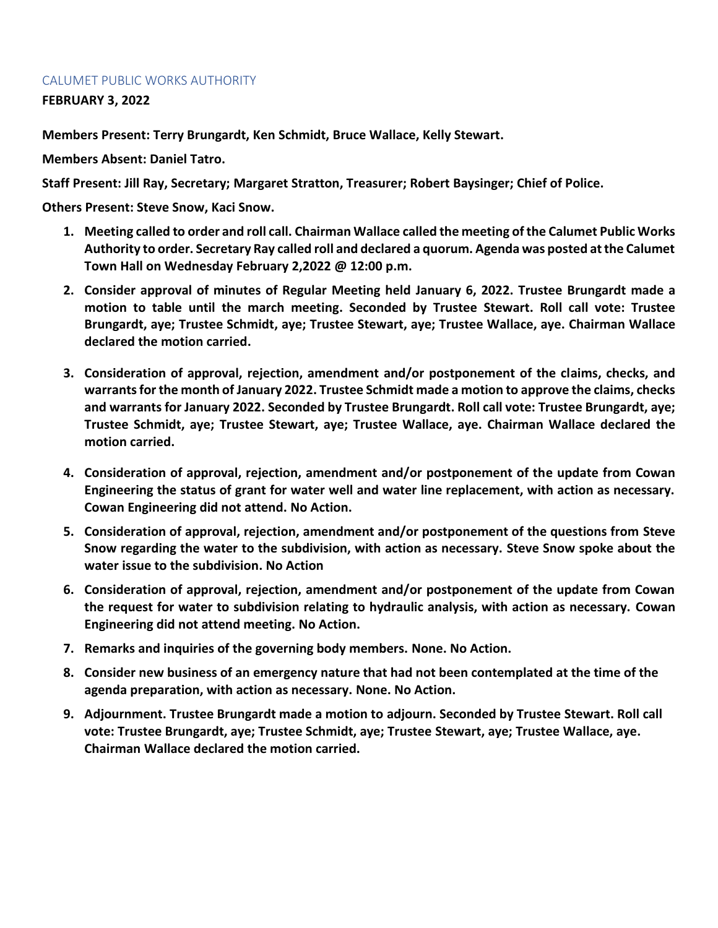## CALUMET PUBLIC WORKS AUTHORITY

**FEBRUARY 3, 2022**

**Members Present: Terry Brungardt, Ken Schmidt, Bruce Wallace, Kelly Stewart.**

**Members Absent: Daniel Tatro.**

**Staff Present: Jill Ray, Secretary; Margaret Stratton, Treasurer; Robert Baysinger; Chief of Police.**

**Others Present: Steve Snow, Kaci Snow.**

- **1. Meeting called to order and roll call. Chairman Wallace called the meeting of the Calumet Public Works Authority to order. Secretary Ray called roll and declared a quorum. Agenda was posted at the Calumet Town Hall on Wednesday February 2,2022 @ 12:00 p.m.**
- **2. Consider approval of minutes of Regular Meeting held January 6, 2022. Trustee Brungardt made a motion to table until the march meeting. Seconded by Trustee Stewart. Roll call vote: Trustee Brungardt, aye; Trustee Schmidt, aye; Trustee Stewart, aye; Trustee Wallace, aye. Chairman Wallace declared the motion carried.**
- **3. Consideration of approval, rejection, amendment and/or postponement of the claims, checks, and warrants for the month of January 2022. Trustee Schmidt made a motion to approve the claims, checks and warrants for January 2022. Seconded by Trustee Brungardt. Roll call vote: Trustee Brungardt, aye; Trustee Schmidt, aye; Trustee Stewart, aye; Trustee Wallace, aye. Chairman Wallace declared the motion carried.**
- **4. Consideration of approval, rejection, amendment and/or postponement of the update from Cowan Engineering the status of grant for water well and water line replacement, with action as necessary. Cowan Engineering did not attend. No Action.**
- **5. Consideration of approval, rejection, amendment and/or postponement of the questions from Steve Snow regarding the water to the subdivision, with action as necessary. Steve Snow spoke about the water issue to the subdivision. No Action**
- **6. Consideration of approval, rejection, amendment and/or postponement of the update from Cowan the request for water to subdivision relating to hydraulic analysis, with action as necessary. Cowan Engineering did not attend meeting. No Action.**
- **7. Remarks and inquiries of the governing body members. None. No Action.**
- **8. Consider new business of an emergency nature that had not been contemplated at the time of the agenda preparation, with action as necessary. None. No Action.**
- **9. Adjournment. Trustee Brungardt made a motion to adjourn. Seconded by Trustee Stewart. Roll call vote: Trustee Brungardt, aye; Trustee Schmidt, aye; Trustee Stewart, aye; Trustee Wallace, aye. Chairman Wallace declared the motion carried.**